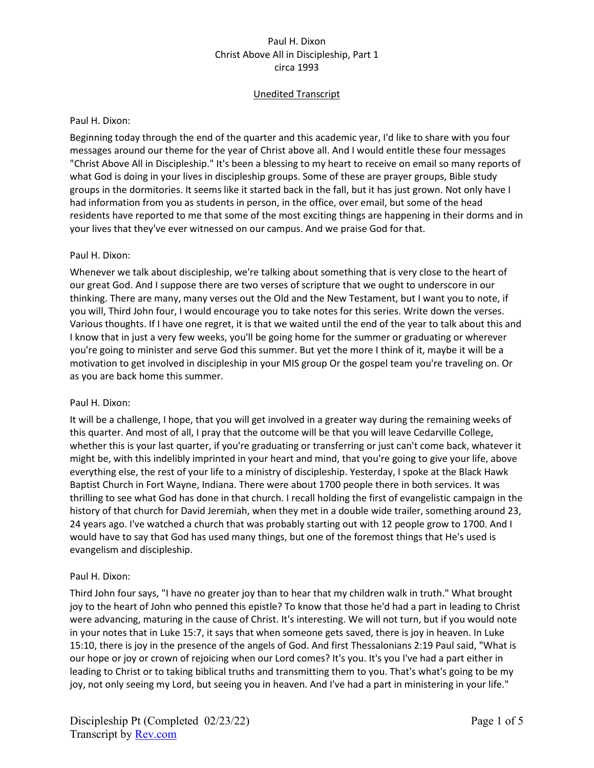# Unedited Transcript

#### Paul H. Dixon:

Beginning today through the end of the quarter and this academic year, I'd like to share with you four messages around our theme for the year of Christ above all. And I would entitle these four messages "Christ Above All in Discipleship." It's been a blessing to my heart to receive on email so many reports of what God is doing in your lives in discipleship groups. Some of these are prayer groups, Bible study groups in the dormitories. It seems like it started back in the fall, but it has just grown. Not only have I had information from you as students in person, in the office, over email, but some of the head residents have reported to me that some of the most exciting things are happening in their dorms and in your lives that they've ever witnessed on our campus. And we praise God for that.

### Paul H. Dixon:

Whenever we talk about discipleship, we're talking about something that is very close to the heart of our great God. And I suppose there are two verses of scripture that we ought to underscore in our thinking. There are many, many verses out the Old and the New Testament, but I want you to note, if you will, Third John four, I would encourage you to take notes for this series. Write down the verses. Various thoughts. If I have one regret, it is that we waited until the end of the year to talk about this and I know that in just a very few weeks, you'll be going home for the summer or graduating or wherever you're going to minister and serve God this summer. But yet the more I think of it, maybe it will be a motivation to get involved in discipleship in your MIS group Or the gospel team you're traveling on. Or as you are back home this summer.

## Paul H. Dixon:

It will be a challenge, I hope, that you will get involved in a greater way during the remaining weeks of this quarter. And most of all, I pray that the outcome will be that you will leave Cedarville College, whether this is your last quarter, if you're graduating or transferring or just can't come back, whatever it might be, with this indelibly imprinted in your heart and mind, that you're going to give your life, above everything else, the rest of your life to a ministry of discipleship. Yesterday, I spoke at the Black Hawk Baptist Church in Fort Wayne, Indiana. There were about 1700 people there in both services. It was thrilling to see what God has done in that church. I recall holding the first of evangelistic campaign in the history of that church for David Jeremiah, when they met in a double wide trailer, something around 23, 24 years ago. I've watched a church that was probably starting out with 12 people grow to 1700. And I would have to say that God has used many things, but one of the foremost things that He's used is evangelism and discipleship.

## Paul H. Dixon:

Third John four says, "I have no greater joy than to hear that my children walk in truth." What brought joy to the heart of John who penned this epistle? To know that those he'd had a part in leading to Christ were advancing, maturing in the cause of Christ. It's interesting. We will not turn, but if you would note in your notes that in Luke 15:7, it says that when someone gets saved, there is joy in heaven. In Luke 15:10, there is joy in the presence of the angels of God. And first Thessalonians 2:19 Paul said, "What is our hope or joy or crown of rejoicing when our Lord comes? It's you. It's you I've had a part either in leading to Christ or to taking biblical truths and transmitting them to you. That's what's going to be my joy, not only seeing my Lord, but seeing you in heaven. And I've had a part in ministering in your life."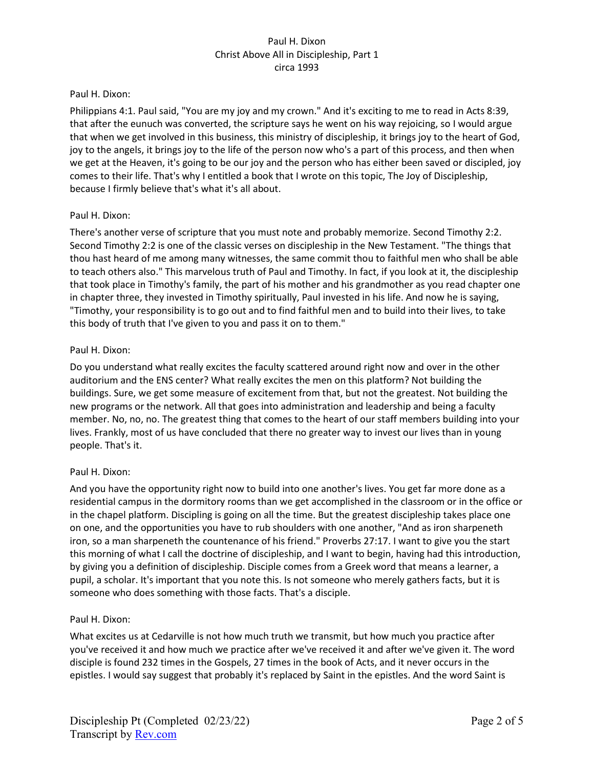#### Paul H. Dixon:

Philippians 4:1. Paul said, "You are my joy and my crown." And it's exciting to me to read in Acts 8:39, that after the eunuch was converted, the scripture says he went on his way rejoicing, so I would argue that when we get involved in this business, this ministry of discipleship, it brings joy to the heart of God, joy to the angels, it brings joy to the life of the person now who's a part of this process, and then when we get at the Heaven, it's going to be our joy and the person who has either been saved or discipled, joy comes to their life. That's why I entitled a book that I wrote on this topic, The Joy of Discipleship, because I firmly believe that's what it's all about.

### Paul H. Dixon:

There's another verse of scripture that you must note and probably memorize. Second Timothy 2:2. Second Timothy 2:2 is one of the classic verses on discipleship in the New Testament. "The things that thou hast heard of me among many witnesses, the same commit thou to faithful men who shall be able to teach others also." This marvelous truth of Paul and Timothy. In fact, if you look at it, the discipleship that took place in Timothy's family, the part of his mother and his grandmother as you read chapter one in chapter three, they invested in Timothy spiritually, Paul invested in his life. And now he is saying, "Timothy, your responsibility is to go out and to find faithful men and to build into their lives, to take this body of truth that I've given to you and pass it on to them."

### Paul H. Dixon:

Do you understand what really excites the faculty scattered around right now and over in the other auditorium and the ENS center? What really excites the men on this platform? Not building the buildings. Sure, we get some measure of excitement from that, but not the greatest. Not building the new programs or the network. All that goes into administration and leadership and being a faculty member. No, no, no. The greatest thing that comes to the heart of our staff members building into your lives. Frankly, most of us have concluded that there no greater way to invest our lives than in young people. That's it.

## Paul H. Dixon:

And you have the opportunity right now to build into one another's lives. You get far more done as a residential campus in the dormitory rooms than we get accomplished in the classroom or in the office or in the chapel platform. Discipling is going on all the time. But the greatest discipleship takes place one on one, and the opportunities you have to rub shoulders with one another, "And as iron sharpeneth iron, so a man sharpeneth the countenance of his friend." Proverbs 27:17. I want to give you the start this morning of what I call the doctrine of discipleship, and I want to begin, having had this introduction, by giving you a definition of discipleship. Disciple comes from a Greek word that means a learner, a pupil, a scholar. It's important that you note this. Is not someone who merely gathers facts, but it is someone who does something with those facts. That's a disciple.

#### Paul H. Dixon:

What excites us at Cedarville is not how much truth we transmit, but how much you practice after you've received it and how much we practice after we've received it and after we've given it. The word disciple is found 232 times in the Gospels, 27 times in the book of Acts, and it never occurs in the epistles. I would say suggest that probably it's replaced by Saint in the epistles. And the word Saint is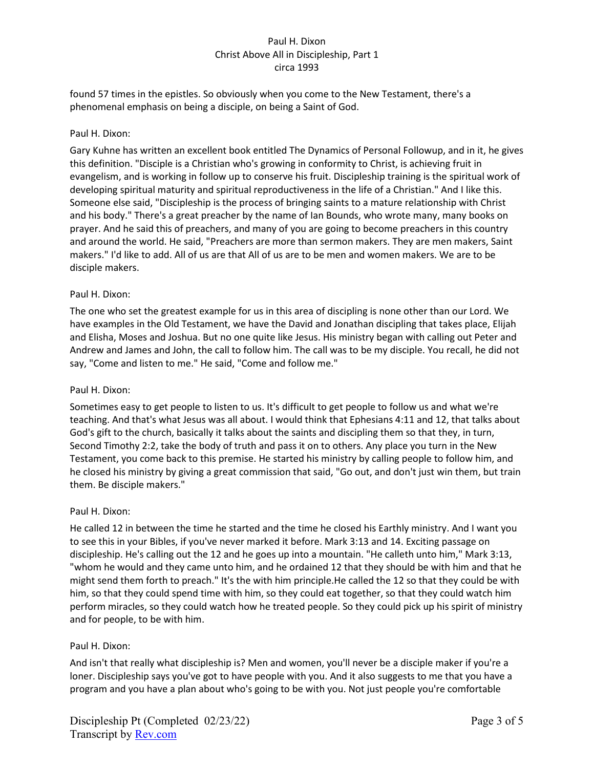found 57 times in the epistles. So obviously when you come to the New Testament, there's a phenomenal emphasis on being a disciple, on being a Saint of God.

### Paul H. Dixon:

Gary Kuhne has written an excellent book entitled The Dynamics of Personal Followup, and in it, he gives this definition. "Disciple is a Christian who's growing in conformity to Christ, is achieving fruit in evangelism, and is working in follow up to conserve his fruit. Discipleship training is the spiritual work of developing spiritual maturity and spiritual reproductiveness in the life of a Christian." And I like this. Someone else said, "Discipleship is the process of bringing saints to a mature relationship with Christ and his body." There's a great preacher by the name of Ian Bounds, who wrote many, many books on prayer. And he said this of preachers, and many of you are going to become preachers in this country and around the world. He said, "Preachers are more than sermon makers. They are men makers, Saint makers." I'd like to add. All of us are that All of us are to be men and women makers. We are to be disciple makers.

### Paul H. Dixon:

The one who set the greatest example for us in this area of discipling is none other than our Lord. We have examples in the Old Testament, we have the David and Jonathan discipling that takes place, Elijah and Elisha, Moses and Joshua. But no one quite like Jesus. His ministry began with calling out Peter and Andrew and James and John, the call to follow him. The call was to be my disciple. You recall, he did not say, "Come and listen to me." He said, "Come and follow me."

#### Paul H. Dixon:

Sometimes easy to get people to listen to us. It's difficult to get people to follow us and what we're teaching. And that's what Jesus was all about. I would think that Ephesians 4:11 and 12, that talks about God's gift to the church, basically it talks about the saints and discipling them so that they, in turn, Second Timothy 2:2, take the body of truth and pass it on to others. Any place you turn in the New Testament, you come back to this premise. He started his ministry by calling people to follow him, and he closed his ministry by giving a great commission that said, "Go out, and don't just win them, but train them. Be disciple makers."

#### Paul H. Dixon:

He called 12 in between the time he started and the time he closed his Earthly ministry. And I want you to see this in your Bibles, if you've never marked it before. Mark 3:13 and 14. Exciting passage on discipleship. He's calling out the 12 and he goes up into a mountain. "He calleth unto him," Mark 3:13, "whom he would and they came unto him, and he ordained 12 that they should be with him and that he might send them forth to preach." It's the with him principle.He called the 12 so that they could be with him, so that they could spend time with him, so they could eat together, so that they could watch him perform miracles, so they could watch how he treated people. So they could pick up his spirit of ministry and for people, to be with him.

#### Paul H. Dixon:

And isn't that really what discipleship is? Men and women, you'll never be a disciple maker if you're a loner. Discipleship says you've got to have people with you. And it also suggests to me that you have a program and you have a plan about who's going to be with you. Not just people you're comfortable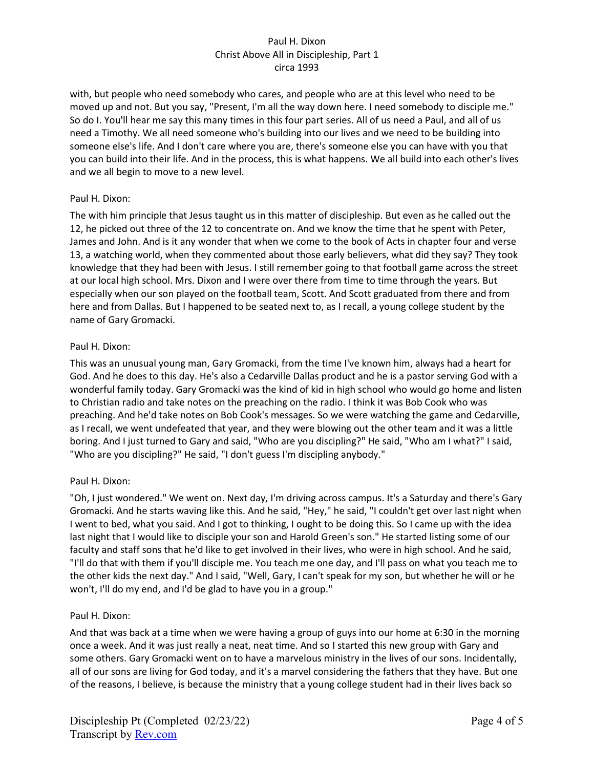with, but people who need somebody who cares, and people who are at this level who need to be moved up and not. But you say, "Present, I'm all the way down here. I need somebody to disciple me." So do I. You'll hear me say this many times in this four part series. All of us need a Paul, and all of us need a Timothy. We all need someone who's building into our lives and we need to be building into someone else's life. And I don't care where you are, there's someone else you can have with you that you can build into their life. And in the process, this is what happens. We all build into each other's lives and we all begin to move to a new level.

## Paul H. Dixon:

The with him principle that Jesus taught us in this matter of discipleship. But even as he called out the 12, he picked out three of the 12 to concentrate on. And we know the time that he spent with Peter, James and John. And is it any wonder that when we come to the book of Acts in chapter four and verse 13, a watching world, when they commented about those early believers, what did they say? They took knowledge that they had been with Jesus. I still remember going to that football game across the street at our local high school. Mrs. Dixon and I were over there from time to time through the years. But especially when our son played on the football team, Scott. And Scott graduated from there and from here and from Dallas. But I happened to be seated next to, as I recall, a young college student by the name of Gary Gromacki.

### Paul H. Dixon:

This was an unusual young man, Gary Gromacki, from the time I've known him, always had a heart for God. And he does to this day. He's also a Cedarville Dallas product and he is a pastor serving God with a wonderful family today. Gary Gromacki was the kind of kid in high school who would go home and listen to Christian radio and take notes on the preaching on the radio. I think it was Bob Cook who was preaching. And he'd take notes on Bob Cook's messages. So we were watching the game and Cedarville, as I recall, we went undefeated that year, and they were blowing out the other team and it was a little boring. And I just turned to Gary and said, "Who are you discipling?" He said, "Who am I what?" I said, "Who are you discipling?" He said, "I don't guess I'm discipling anybody."

## Paul H. Dixon:

"Oh, I just wondered." We went on. Next day, I'm driving across campus. It's a Saturday and there's Gary Gromacki. And he starts waving like this. And he said, "Hey," he said, "I couldn't get over last night when I went to bed, what you said. And I got to thinking, I ought to be doing this. So I came up with the idea last night that I would like to disciple your son and Harold Green's son." He started listing some of our faculty and staff sons that he'd like to get involved in their lives, who were in high school. And he said, "I'll do that with them if you'll disciple me. You teach me one day, and I'll pass on what you teach me to the other kids the next day." And I said, "Well, Gary, I can't speak for my son, but whether he will or he won't, I'll do my end, and I'd be glad to have you in a group."

## Paul H. Dixon:

And that was back at a time when we were having a group of guys into our home at 6:30 in the morning once a week. And it was just really a neat, neat time. And so I started this new group with Gary and some others. Gary Gromacki went on to have a marvelous ministry in the lives of our sons. Incidentally, all of our sons are living for God today, and it's a marvel considering the fathers that they have. But one of the reasons, I believe, is because the ministry that a young college student had in their lives back so